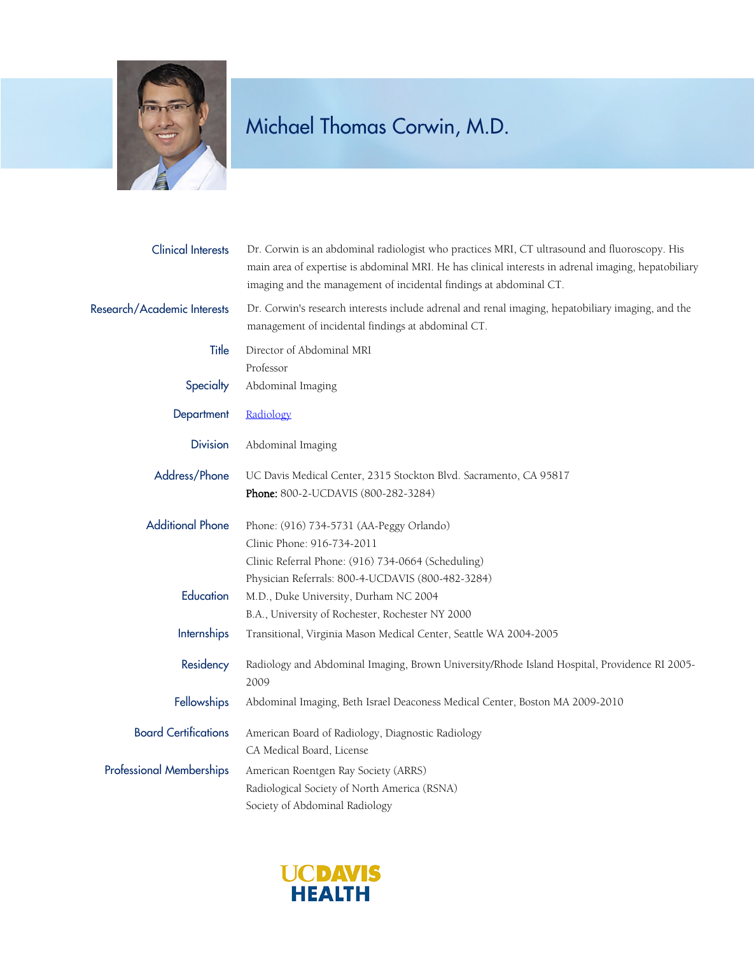

## Michael Thomas Corwin, M.D.

| <b>Clinical Interests</b>       | Dr. Corwin is an abdominal radiologist who practices MRI, CT ultrasound and fluoroscopy. His<br>main area of expertise is abdominal MRI. He has clinical interests in adrenal imaging, hepatobiliary<br>imaging and the management of incidental findings at abdominal CT. |
|---------------------------------|----------------------------------------------------------------------------------------------------------------------------------------------------------------------------------------------------------------------------------------------------------------------------|
| Research/Academic Interests     | Dr. Corwin's research interests include adrenal and renal imaging, hepatobiliary imaging, and the<br>management of incidental findings at abdominal CT.                                                                                                                    |
| Title                           | Director of Abdominal MRI<br>Professor                                                                                                                                                                                                                                     |
| Specialty                       | Abdominal Imaging                                                                                                                                                                                                                                                          |
| Department                      | Radiology                                                                                                                                                                                                                                                                  |
| <b>Division</b>                 | Abdominal Imaging                                                                                                                                                                                                                                                          |
| Address/Phone                   | UC Davis Medical Center, 2315 Stockton Blvd. Sacramento, CA 95817                                                                                                                                                                                                          |
|                                 | Phone: 800-2-UCDAVIS (800-282-3284)                                                                                                                                                                                                                                        |
| <b>Additional Phone</b>         | Phone: (916) 734-5731 (AA-Peggy Orlando)                                                                                                                                                                                                                                   |
|                                 | Clinic Phone: 916-734-2011                                                                                                                                                                                                                                                 |
|                                 | Clinic Referral Phone: (916) 734-0664 (Scheduling)                                                                                                                                                                                                                         |
|                                 | Physician Referrals: 800-4-UCDAVIS (800-482-3284)                                                                                                                                                                                                                          |
| Education                       | M.D., Duke University, Durham NC 2004                                                                                                                                                                                                                                      |
|                                 | B.A., University of Rochester, Rochester NY 2000                                                                                                                                                                                                                           |
| Internships                     | Transitional, Virginia Mason Medical Center, Seattle WA 2004-2005                                                                                                                                                                                                          |
| Residency                       | Radiology and Abdominal Imaging, Brown University/Rhode Island Hospital, Providence RI 2005-                                                                                                                                                                               |
|                                 | 2009                                                                                                                                                                                                                                                                       |
| Fellowships                     | Abdominal Imaging, Beth Israel Deaconess Medical Center, Boston MA 2009-2010                                                                                                                                                                                               |
| <b>Board Certifications</b>     | American Board of Radiology, Diagnostic Radiology                                                                                                                                                                                                                          |
|                                 | CA Medical Board, License                                                                                                                                                                                                                                                  |
| <b>Professional Memberships</b> | American Roentgen Ray Society (ARRS)                                                                                                                                                                                                                                       |
|                                 | Radiological Society of North America (RSNA)                                                                                                                                                                                                                               |
|                                 | Society of Abdominal Radiology                                                                                                                                                                                                                                             |

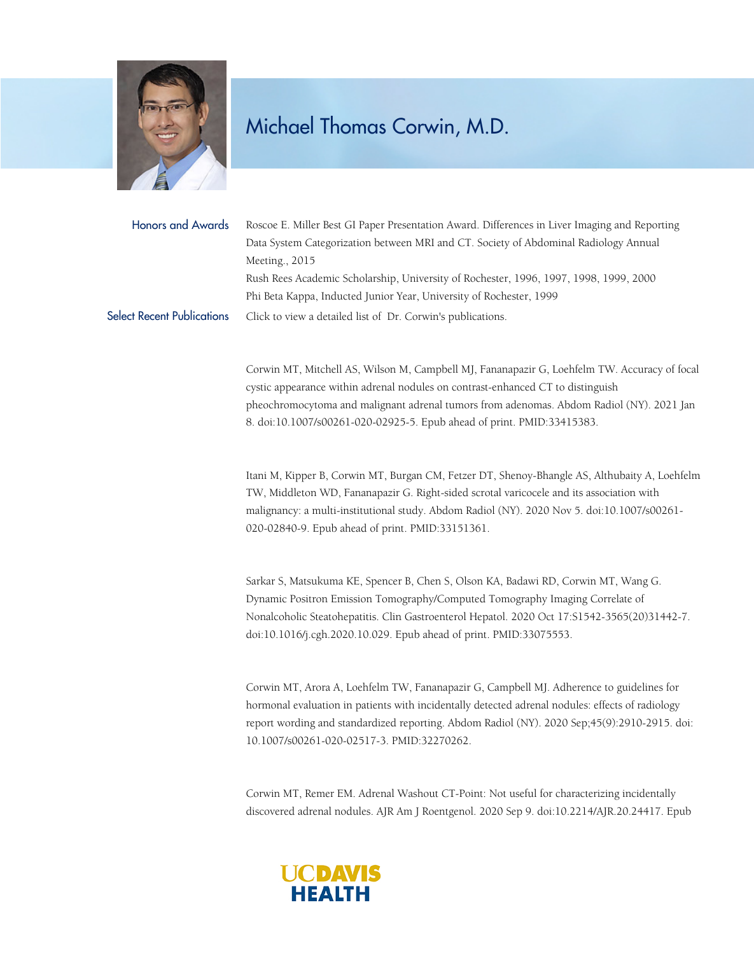

## Michael Thomas Corwin, M.D.

Honors and Awards Roscoe E. Miller Best GI Paper Presentation Award. Differences in Liver Imaging and Reporting Data System Categorization between MRI and CT. Society of Abdominal Radiology Annual Meeting., 2015 Rush Rees Academic Scholarship, University of Rochester, 1996, 1997, 1998, 1999, 2000 Phi Beta Kappa, Inducted Junior Year, University of Rochester, 1999 Select Recent Publications [Click to view a detailed list of Dr. Corwin's publications.](https://www.ncbi.nlm.nih.gov/pubmed/?term=corwin+mt)

> Corwin MT, Mitchell AS, Wilson M, Campbell MJ, Fananapazir G, Loehfelm TW. Accuracy of focal cystic appearance within adrenal nodules on contrast-enhanced CT to distinguish pheochromocytoma and malignant adrenal tumors from adenomas. Abdom Radiol (NY). 2021 Jan 8. doi:10.1007/s00261-020-02925-5. Epub ahead of print. PMID:33415383.

> Itani M, Kipper B, Corwin MT, Burgan CM, Fetzer DT, Shenoy-Bhangle AS, Althubaity A, Loehfelm TW, Middleton WD, Fananapazir G. Right-sided scrotal varicocele and its association with malignancy: a multi-institutional study. Abdom Radiol (NY). 2020 Nov 5. doi:10.1007/s00261- 020-02840-9. Epub ahead of print. PMID:33151361.

Sarkar S, Matsukuma KE, Spencer B, Chen S, Olson KA, Badawi RD, Corwin MT, Wang G. Dynamic Positron Emission Tomography/Computed Tomography Imaging Correlate of Nonalcoholic Steatohepatitis. Clin Gastroenterol Hepatol. 2020 Oct 17:S1542-3565(20)31442-7. doi:10.1016/j.cgh.2020.10.029. Epub ahead of print. PMID:33075553.

Corwin MT, Arora A, Loehfelm TW, Fananapazir G, Campbell MJ. Adherence to guidelines for hormonal evaluation in patients with incidentally detected adrenal nodules: effects of radiology report wording and standardized reporting. Abdom Radiol (NY). 2020 Sep;45(9):2910-2915. doi: 10.1007/s00261-020-02517-3. PMID:32270262.

Corwin MT, Remer EM. Adrenal Washout CT-Point: Not useful for characterizing incidentally discovered adrenal nodules. AJR Am J Roentgenol. 2020 Sep 9. doi:10.2214/AJR.20.24417. Epub